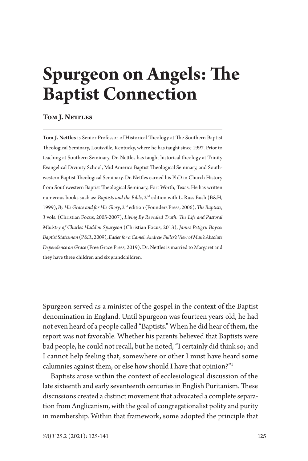# **Spurgeon on Angels: The Baptist Connection**

# **Tom J. Nettles**

**Tom J. Nettles** is Senior Professor of Historical Theology at The Southern Baptist Theological Seminary, Louisville, Kentucky, where he has taught since 1997. Prior to teaching at Southern Seminary, Dr. Nettles has taught historical theology at Trinity Evangelical Divinity School, Mid America Baptist Theological Seminary, and Southwestern Baptist Theological Seminary. Dr. Nettles earned his PhD in Church History from Southwestern Baptist Theological Seminary, Fort Worth, Texas. He has written numerous books such as: *Baptists and the Bible*, 2nd edition with L. Russ Bush (B&H, 1999), *By His Grace and for His Glory*, 2nd edition (Founders Press, 2006), *The Baptists*, 3 vols. (Christian Focus, 2005-2007), *Living By Revealed Truth: The Life and Pastoral Ministry of Charles Haddon Spurgeon* (Christian Focus, 2013), *James Petigru Boyce: Baptist Statesman* (P&R, 2009), *Easier for a Camel: Andrew Fuller's View of Man's Absolute Dependence on Grace* (Free Grace Press, 2019). Dr. Nettles is married to Margaret and they have three children and six grandchildren.

Spurgeon served as a minister of the gospel in the context of the Baptist denomination in England. Until Spurgeon was fourteen years old, he had not even heard of a people called "Baptists." When he did hear of them, the report was not favorable. Whether his parents believed that Baptists were bad people, he could not recall, but he noted, "I certainly did think so; and I cannot help feeling that, somewhere or other I must have heard some calumnies against them, or else how should I have that opinion?"1

Baptists arose within the context of ecclesiological discussion of the late sixteenth and early seventeenth centuries in English Puritanism. These discussions created a distinct movement that advocated a complete separation from Anglicanism, with the goal of congregationalist polity and purity in membership. Within that framework, some adopted the principle that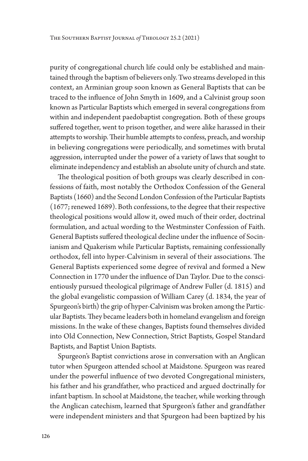purity of congregational church life could only be established and maintained through the baptism of believers only. Two streams developed in this context, an Arminian group soon known as General Baptists that can be traced to the influence of John Smyth in 1609, and a Calvinist group soon known as Particular Baptists which emerged in several congregations from within and independent paedobaptist congregation. Both of these groups suffered together, went to prison together, and were alike harassed in their attempts to worship. Their humble attempts to confess, preach, and worship in believing congregations were periodically, and sometimes with brutal aggression, interrupted under the power of a variety of laws that sought to eliminate independency and establish an absolute unity of church and state.

The theological position of both groups was clearly described in confessions of faith, most notably the Orthodox Confession of the General Baptists (1660) and the Second London Confession of the Particular Baptists (1677; renewed 1689). Both confessions, to the degree that their respective theological positions would allow it, owed much of their order, doctrinal formulation, and actual wording to the Westminster Confession of Faith. General Baptists suffered theological decline under the influence of Socinianism and Quakerism while Particular Baptists, remaining confessionally orthodox, fell into hyper-Calvinism in several of their associations. The General Baptists experienced some degree of revival and formed a New Connection in 1770 under the influence of Dan Taylor. Due to the conscientiously pursued theological pilgrimage of Andrew Fuller (d. 1815) and the global evangelistic compassion of William Carey (d. 1834, the year of Spurgeon's birth) the grip of hyper-Calvinism was broken among the Particular Baptists. They became leaders both in homeland evangelism and foreign missions. In the wake of these changes, Baptists found themselves divided into Old Connection, New Connection, Strict Baptists, Gospel Standard Baptists, and Baptist Union Baptists.

Spurgeon's Baptist convictions arose in conversation with an Anglican tutor when Spurgeon attended school at Maidstone. Spurgeon was reared under the powerful influence of two devoted Congregational ministers, his father and his grandfather, who practiced and argued doctrinally for infant baptism. In school at Maidstone, the teacher, while working through the Anglican catechism, learned that Spurgeon's father and grandfather were independent ministers and that Spurgeon had been baptized by his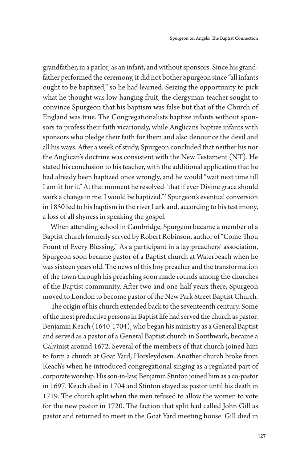grandfather, in a parlor, as an infant, and without sponsors. Since his grandfather performed the ceremony, it did not bother Spurgeon since "all infants ought to be baptized," so he had learned. Seizing the opportunity to pick what he thought was low-hanging fruit, the clergyman-teacher sought to convince Spurgeon that his baptism was false but that of the Church of England was true. The Congregationalists baptize infants without sponsors to profess their faith vicariously, while Anglicans baptize infants with sponsors who pledge their faith for them and also denounce the devil and all his ways. After a week of study, Spurgeon concluded that neither his nor the Anglican's doctrine was consistent with the New Testament (NT). He stated his conclusion to his teacher, with the additional application that he had already been baptized once wrongly, and he would "wait next time till I am fit for it." At that moment he resolved "that if ever Divine grace should work a change in me, I would be baptized."2 Spurgeon's eventual conversion in 1850 led to his baptism in the river Lark and, according to his testimony, a loss of all shyness in speaking the gospel.

When attending school in Cambridge, Spurgeon became a member of a Baptist church formerly served by Robert Robinson, author of "Come Thou Fount of Every Blessing." As a participant in a lay preachers' association, Spurgeon soon became pastor of a Baptist church at Waterbeach when he was sixteen years old. The news of this boy preacher and the transformation of the town through his preaching soon made rounds among the churches of the Baptist community. After two and one-half years there, Spurgeon moved to London to become pastor of the New Park Street Baptist Church.

The origin of his church extended back to the seventeenth century. Some of the most productive persons in Baptist life had served the church as pastor. Benjamin Keach (1640-1704), who began his ministry as a General Baptist and served as a pastor of a General Baptist church in Southwark, became a Calvinist around 1672. Several of the members of that church joined him to form a church at Goat Yard, Horsleydown. Another church broke from Keach's when he introduced congregational singing as a regulated part of corporate worship. His son-in-law, Benjamin Stinton joined him as a co-pastor in 1697. Keach died in 1704 and Stinton stayed as pastor until his death in 1719. The church split when the men refused to allow the women to vote for the new pastor in 1720. The faction that split had called John Gill as pastor and returned to meet in the Goat Yard meeting house. Gill died in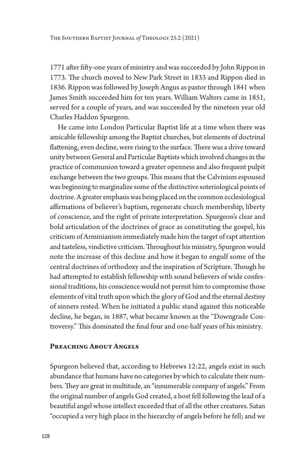1771 after fifty-one years of ministry and was succeeded by John Rippon in 1773. The church moved to New Park Street in 1833 and Rippon died in 1836. Rippon was followed by Joseph Angus as pastor through 1841 when James Smith succeeded him for ten years. William Walters came in 1851, served for a couple of years, and was succeeded by the nineteen year old Charles Haddon Spurgeon.

He came into London Particular Baptist life at a time when there was amicable fellowship among the Baptist churches, but elements of doctrinal flattening, even decline, were rising to the surface. There was a drive toward unity between General and Particular Baptists which involved changes in the practice of communion toward a greater openness and also frequent pulpit exchange between the two groups. This means that the Calvinism espoused was beginning to marginalize some of the distinctive soteriological points of doctrine. A greater emphasis was being placed on the common ecclesiological affirmations of believer's baptism, regenerate church membership, liberty of conscience, and the right of private interpretation. Spurgeon's clear and bold articulation of the doctrines of grace as constituting the gospel, his criticism of Arminianism immediately made him the target of rapt attention and tasteless, vindictive criticism. Throughout his ministry, Spurgeon would note the increase of this decline and how it began to engulf some of the central doctrines of orthodoxy and the inspiration of Scripture. Though he had attempted to establish fellowship with sound believers of wide confessional traditions, his conscience would not permit him to compromise those elements of vital truth upon which the glory of God and the eternal destiny of sinners rested. When he initiated a public stand against this noticeable decline, he began, in 1887, what became known as the "Downgrade Controversy." This dominated the final four and one-half years of his ministry.

# **PREACHING ABOUT ANGELS**

Spurgeon believed that, according to Hebrews 12:22, angels exist in such abundance that humans have no categories by which to calculate their numbers. They are great in multitude, an "innumerable company of angels." From the original number of angels God created, a host fell following the lead of a beautiful angel whose intellect exceeded that of all the other creatures. Satan "occupied a very high place in the hierarchy of angels before he fell; and we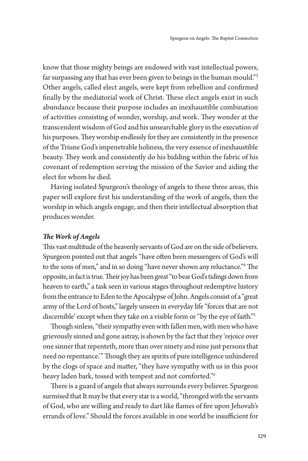know that those mighty beings are endowed with vast intellectual powers, far surpassing any that has ever been given to beings in the human mould."3 Other angels, called elect angels, were kept from rebellion and confirmed finally by the mediatorial work of Christ. These elect angels exist in such abundance because their purpose includes an inexhaustible combination of activities consisting of wonder, worship, and work. They wonder at the transcendent wisdom of God and his unsearchable glory in the execution of his purposes. They worship endlessly for they are consistently in the presence of the Triune God's impenetrable holiness, the very essence of inexhaustible beauty. They work and consistently do his bidding within the fabric of his covenant of redemption serving the mission of the Savior and aiding the elect for whom he died.

Having isolated Spurgeon's theology of angels to these three areas, this paper will explore first his understanding of the work of angels, then the worship in which angels engage, and then their intellectual absorption that produces wonder.

# *The Work of Angels*

This vast multitude of the heavenly servants of God are on the side of believers. Spurgeon pointed out that angels "have often been messengers of God's will to the sons of men," and in so doing "have never shown any reluctance."4 The opposite, in fact is true. Their joy has been great "to bear God's tidings down from heaven to earth," a task seen in various stages throughout redemptive history from the entrance to Eden to the Apocalypse of John. Angels consist of a "great army of the Lord of hosts," largely unseen in everyday life "forces that are not discernible' except when they take on a visible form or "by the eye of faith."5

Though sinless, "their sympathy even with fallen men, with men who have grievously sinned and gone astray, is shown by the fact that they 'rejoice over one sinner that repenteth, more than over ninety and nine just persons that need no repentance.'" Though they are spirits of pure intelligence unhindered by the clogs of space and matter, "they have sympathy with us in this poor heavy laden bark, tossed with tempest and not comforted."6

There is a guard of angels that always surrounds every believer. Spurgeon surmised that It may be that every star is a world, "thronged with the servants of God, who are willing and ready to dart like flames of fire upon Jehovah's errands of love." Should the forces available in one world be insufficient for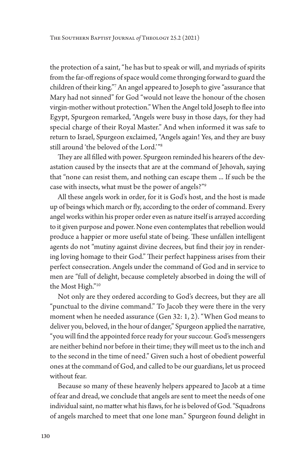the protection of a saint, "he has but to speak or will, and myriads of spirits from the far-off regions of space would come thronging forward to guard the children of their king."7 An angel appeared to Joseph to give "assurance that Mary had not sinned" for God "would not leave the honour of the chosen virgin-mother without protection." When the Angel told Joseph to flee into Egypt, Spurgeon remarked, "Angels were busy in those days, for they had special charge of their Royal Master." And when informed it was safe to return to Israel, Spurgeon exclaimed, "Angels again! Yes, and they are busy still around 'the beloved of the Lord.'"8

They are all filled with power. Spurgeon reminded his hearers of the devastation caused by the insects that are at the command of Jehovah, saying that "none can resist them, and nothing can escape them ... If such be the case with insects, what must be the power of angels?"9

All these angels work in order, for it is God's host, and the host is made up of beings which march or fly, according to the order of command. Every angel works within his proper order even as nature itself is arrayed according to it given purpose and power. None even contemplates that rebellion would produce a happier or more useful state of being. These unfallen intelligent agents do not "mutiny against divine decrees, but find their joy in rendering loving homage to their God." Their perfect happiness arises from their perfect consecration. Angels under the command of God and in service to men are "full of delight, because completely absorbed in doing the will of the Most High."10

Not only are they ordered according to God's decrees, but they are all "punctual to the divine command." To Jacob they were there in the very moment when he needed assurance (Gen 32: 1, 2). "When God means to deliver you, beloved, in the hour of danger," Spurgeon applied the narrative, "you will find the appointed force ready for your succour. God's messengers are neither behind nor before in their time; they will meet us to the inch and to the second in the time of need." Given such a host of obedient powerful ones at the command of God, and called to be our guardians, let us proceed without fear.

Because so many of these heavenly helpers appeared to Jacob at a time of fear and dread, we conclude that angels are sent to meet the needs of one individual saint, no matter what his flaws, for he is beloved of God. "Squadrons of angels marched to meet that one lone man." Spurgeon found delight in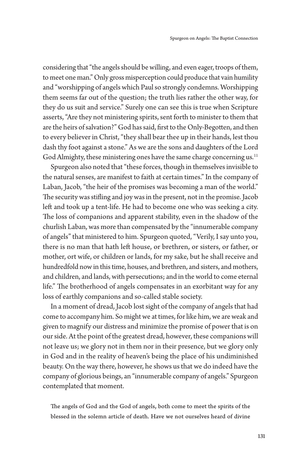considering that "the angels should be willing, and even eager, troops of them, to meet one man." Only gross misperception could produce that vain humility and "worshipping of angels which Paul so strongly condemns. Worshipping them seems far out of the question; the truth lies rather the other way, for they do us suit and service." Surely one can see this is true when Scripture asserts, "Are they not ministering spirits, sent forth to minister to them that are the heirs of salvation?" God has said, first to the Only-Begotten, and then to every believer in Christ, "they shall bear thee up in their hands, lest thou dash thy foot against a stone." As we are the sons and daughters of the Lord God Almighty, these ministering ones have the same charge concerning us.<sup>11</sup>

Spurgeon also noted that "these forces, though in themselves invisible to the natural senses, are manifest to faith at certain times." In the company of Laban, Jacob, "the heir of the promises was becoming a man of the world." The security was stifling and joy was in the present, not in the promise. Jacob left and took up a tent-life. He had to become one who was seeking a city. The loss of companions and apparent stability, even in the shadow of the churlish Laban, was more than compensated by the "innumerable company of angels" that ministered to him. Spurgeon quoted, "Verily, I say unto you, there is no man that hath left house, or brethren, or sisters, or father, or mother, ort wife, or children or lands, for my sake, but he shall receive and hundredfold now in this time, houses, and brethren, and sisters, and mothers, and children, and lands, with persecutions; and in the world to come eternal life." The brotherhood of angels compensates in an exorbitant way for any loss of earthly companions and so-called stable society.

In a moment of dread, Jacob lost sight of the company of angels that had come to accompany him. So might we at times, for like him, we are weak and given to magnify our distress and minimize the promise of power that is on our side. At the point of the greatest dread, however, these companions will not leave us; we glory not in them nor in their presence, but we glory only in God and in the reality of heaven's being the place of his undiminished beauty. On the way there, however, he shows us that we do indeed have the company of glorious beings, an "innumerable company of angels." Spurgeon contemplated that moment.

The angels of God and the God of angels, both come to meet the spirits of the blessed in the solemn article of death. Have we not ourselves heard of divine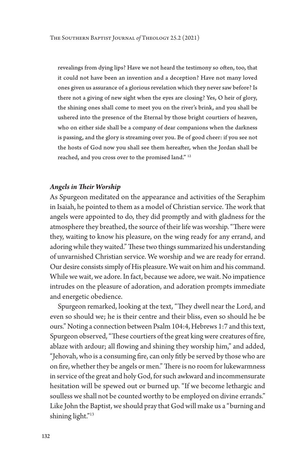revealings from dying lips? Have we not heard the testimony so often, too, that it could not have been an invention and a deception? Have not many loved ones given us assurance of a glorious revelation which they never saw before? Is there not a giving of new sight when the eyes are closing? Yes, O heir of glory, the shining ones shall come to meet you on the river's brink, and you shall be ushered into the presence of the Eternal by those bright courtiers of heaven, who on either side shall be a company of dear companions when the darkness is passing, and the glory is streaming over you. Be of good cheer: if you see not the hosts of God now you shall see them hereafter, when the Jordan shall be reached, and you cross over to the promised land." 12

#### *Angels in Their Worship*

As Spurgeon meditated on the appearance and activities of the Seraphim in Isaiah, he pointed to them as a model of Christian service. The work that angels were appointed to do, they did promptly and with gladness for the atmosphere they breathed, the source of their life was worship. "There were they, waiting to know his pleasure, on the wing ready for any errand, and adoring while they waited." These two things summarized his understanding of unvarnished Christian service. We worship and we are ready for errand. Our desire consists simply of His pleasure. We wait on him and his command. While we wait, we adore. In fact, because we adore, we wait. No impatience intrudes on the pleasure of adoration, and adoration prompts immediate and energetic obedience.

Spurgeon remarked, looking at the text, "They dwell near the Lord, and even so should we; he is their centre and their bliss, even so should he be ours." Noting a connection between Psalm 104:4, Hebrews 1:7 and this text, Spurgeon observed, "These courtiers of the great king were creatures of fire, ablaze with ardour; all flowing and shining they worship him," and added, "Jehovah, who is a consuming fire, can only fitly be served by those who are on fire, whether they be angels or men." There is no room for lukewarmness in service of the great and holy God, for such awkward and incommensurate hesitation will be spewed out or burned up. "If we become lethargic and soulless we shall not be counted worthy to be employed on divine errands." Like John the Baptist, we should pray that God will make us a "burning and shining light."13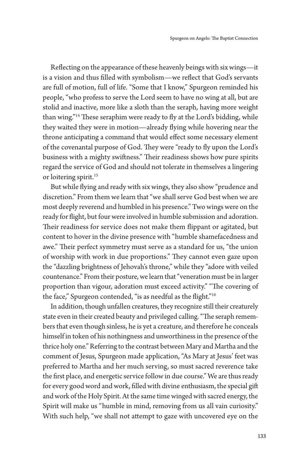Reflecting on the appearance of these heavenly beings with six wings—it is a vision and thus filled with symbolism—we reflect that God's servants are full of motion, full of life. "Some that I know," Spurgeon reminded his people, "who profess to serve the Lord seem to have no wing at all, but are stolid and inactive, more like a sloth than the seraph, having more weight than wing."<sup>14</sup> These seraphim were ready to fly at the Lord's bidding, while they waited they were in motion—already flying while hovering near the throne anticipating a command that would effect some necessary element of the covenantal purpose of God. They were "ready to fly upon the Lord's business with a mighty swiftness." Their readiness shows how pure spirits regard the service of God and should not tolerate in themselves a lingering or loitering spirit.<sup>15</sup>

But while flying and ready with six wings, they also show "prudence and discretion." From them we learn that "we shall serve God best when we are most deeply reverend and humbled in his presence." Two wings were on the ready for flight, but four were involved in humble submission and adoration. Their readiness for service does not make them flippant or agitated, but content to hover in the divine presence with "humble shamefacedness and awe." Their perfect symmetry must serve as a standard for us, "the union of worship with work in due proportions." They cannot even gaze upon the "dazzling brightness of Jehovah's throne," while they "adore with veiled countenance." From their posture, we learn that "veneration must be in larger proportion than vigour, adoration must exceed activity." "The covering of the face," Spurgeon contended, "is as needful as the flight."<sup>16</sup>

In addition, though unfallen creatures, they recognize still their creaturely state even in their created beauty and privileged calling. "The seraph remembers that even though sinless, he is yet a creature, and therefore he conceals himself in token of his nothingness and unworthiness in the presence of the thrice holy one." Referring to the contrast between Mary and Martha and the comment of Jesus, Spurgeon made application, "As Mary at Jesus' feet was preferred to Martha and her much serving, so must sacred reverence take the first place, and energetic service follow in due course." We are thus ready for every good word and work, filled with divine enthusiasm, the special gift and work of the Holy Spirit. At the same time winged with sacred energy, the Spirit will make us "humble in mind, removing from us all vain curiosity." With such help, "we shall not attempt to gaze with uncovered eye on the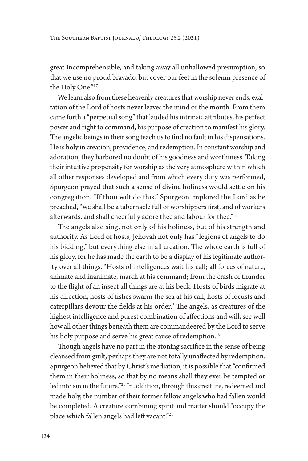great Incomprehensible, and taking away all unhallowed presumption, so that we use no proud bravado, but cover our feet in the solemn presence of the Holy One."<sup>17</sup>

We learn also from these heavenly creatures that worship never ends, exaltation of the Lord of hosts never leaves the mind or the mouth. From them came forth a "perpetual song" that lauded his intrinsic attributes, his perfect power and right to command, his purpose of creation to manifest his glory. The angelic beings in their song teach us to find no fault in his dispensations. He is holy in creation, providence, and redemption. In constant worship and adoration, they harbored no doubt of his goodness and worthiness. Taking their intuitive propensity for worship as the very atmosphere within which all other responses developed and from which every duty was performed, Spurgeon prayed that such a sense of divine holiness would settle on his congregation. "If thou wilt do this," Spurgeon implored the Lord as he preached, "we shall be a tabernacle full of worshippers first, and of workers afterwards, and shall cheerfully adore thee and labour for thee."18

The angels also sing, not only of his holiness, but of his strength and authority. As Lord of hosts, Jehovah not only has "legions of angels to do his bidding," but everything else in all creation. The whole earth is full of his glory, for he has made the earth to be a display of his legitimate authority over all things. "Hosts of intelligences wait his call; all forces of nature, animate and inanimate, march at his command; from the crash of thunder to the flight of an insect all things are at his beck. Hosts of birds migrate at his direction, hosts of fishes swarm the sea at his call, hosts of locusts and caterpillars devour the fields at his order." The angels, as creatures of the highest intelligence and purest combination of affections and will, see well how all other things beneath them are commandeered by the Lord to serve his holy purpose and serve his great cause of redemption.<sup>19</sup>

Though angels have no part in the atoning sacrifice in the sense of being cleansed from guilt, perhaps they are not totally unaffected by redemption. Spurgeon believed that by Christ's mediation, it is possible that "confirmed them in their holiness, so that by no means shall they ever be tempted or led into sin in the future."20 In addition, through this creature, redeemed and made holy, the number of their former fellow angels who had fallen would be completed. A creature combining spirit and matter should "occupy the place which fallen angels had left vacant."21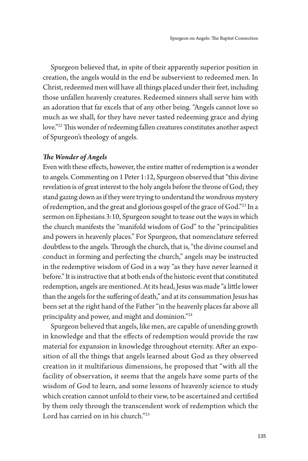Spurgeon believed that, in spite of their apparently superior position in creation, the angels would in the end be subservient to redeemed men. In Christ, redeemed men will have all things placed under their feet, including those unfallen heavenly creatures. Redeemed sinners shall serve him with an adoration that far excels that of any other being. "Angels cannot love so much as we shall, for they have never tasted redeeming grace and dying love."22 This wonder of redeeming fallen creatures constitutes another aspect of Spurgeon's theology of angels.

# *The Wonder of Angels*

Even with these effects, however, the entire matter of redemption is a wonder to angels. Commenting on 1 Peter 1:12, Spurgeon observed that "this divine revelation is of great interest to the holy angels before the throne of God; they stand gazing down as if they were trying to understand the wondrous mystery of redemption, and the great and glorious gospel of the grace of God."23 In a sermon on Ephesians 3:10, Spurgeon sought to tease out the ways in which the church manifests the "manifold wisdom of God" to the "principalities and powers in heavenly places." For Spurgeon, that nomenclature referred doubtless to the angels. Through the church, that is, "the divine counsel and conduct in forming and perfecting the church," angels may be instructed in the redemptive wisdom of God in a way "as they have never learned it before." It is instructive that at both ends of the historic event that constituted redemption, angels are mentioned. At its head, Jesus was made "a little lower than the angels for the suffering of death," and at its consummation Jesus has been set at the right hand of the Father "in the heavenly places far above all principality and power, and might and dominion."24

Spurgeon believed that angels, like men, are capable of unending growth in knowledge and that the effects of redemption would provide the raw material for expansion in knowledge throughout eternity. After an exposition of all the things that angels learned about God as they observed creation in it multifarious dimensions, he proposed that "with all the facility of observation, it seems that the angels have some parts of the wisdom of God to learn, and some lessons of heavenly science to study which creation cannot unfold to their view, to be ascertained and certified by them only through the transcendent work of redemption which the Lord has carried on in his church."25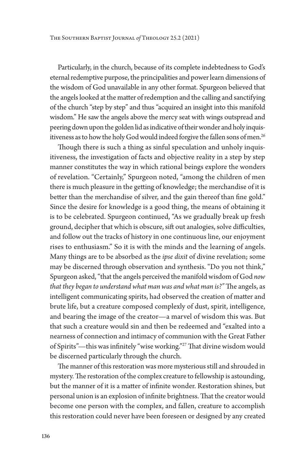Particularly, in the church, because of its complete indebtedness to God's eternal redemptive purpose, the principalities and power learn dimensions of the wisdom of God unavailable in any other format. Spurgeon believed that the angels looked at the matter of redemption and the calling and sanctifying of the church "step by step" and thus "acquired an insight into this manifold wisdom." He saw the angels above the mercy seat with wings outspread and peering down upon the golden lid as indicative of their wonder and holy inquisitiveness as to how the holy God would indeed forgive the fallen sons of men.<sup>26</sup>

Though there is such a thing as sinful speculation and unholy inquisitiveness, the investigation of facts and objective reality in a step by step manner constitutes the way in which rational beings explore the wonders of revelation. "Certainly," Spurgeon noted, "among the children of men there is much pleasure in the getting of knowledge; the merchandise of it is better than the merchandise of silver, and the gain thereof than fine gold." Since the desire for knowledge is a good thing, the means of obtaining it is to be celebrated. Spurgeon continued, "As we gradually break up fresh ground, decipher that which is obscure, sift out analogies, solve difficulties, and follow out the tracks of history in one continuous line, our enjoyment rises to enthusiasm." So it is with the minds and the learning of angels. Many things are to be absorbed as the *ipse dixit* of divine revelation; some may be discerned through observation and synthesis. "Do you not think," Spurgeon asked, "that the angels perceived the manifold wisdom of God *now that they began to understand what man was and what man is?"* The angels, as intelligent communicating spirits, had observed the creation of matter and brute life, but a creature composed complexly of dust, spirit, intelligence, and bearing the image of the creator—a marvel of wisdom this was. But that such a creature would sin and then be redeemed and "exalted into a nearness of connection and intimacy of communion with the Great Father of Spirits"—this was infinitely "wise working."27 That divine wisdom would be discerned particularly through the church.

The manner of this restoration was more mysterious still and shrouded in mystery. The restoration of the complex creature to fellowship is astounding, but the manner of it is a matter of infinite wonder. Restoration shines, but personal union is an explosion of infinite brightness. That the creator would become one person with the complex, and fallen, creature to accomplish this restoration could never have been foreseen or designed by any created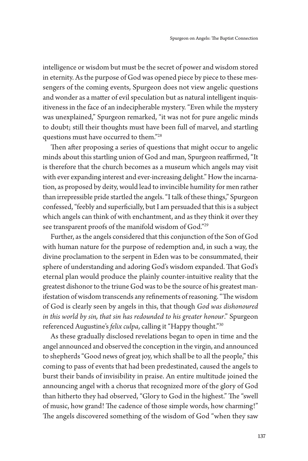intelligence or wisdom but must be the secret of power and wisdom stored in eternity. As the purpose of God was opened piece by piece to these messengers of the coming events, Spurgeon does not view angelic questions and wonder as a matter of evil speculation but as natural intelligent inquisitiveness in the face of an indecipherable mystery. "Even while the mystery was unexplained," Spurgeon remarked, "it was not for pure angelic minds to doubt; still their thoughts must have been full of marvel, and startling questions must have occurred to them."28

Then after proposing a series of questions that might occur to angelic minds about this startling union of God and man, Spurgeon reaffirmed, "It is therefore that the church becomes as a museum which angels may visit with ever expanding interest and ever-increasing delight." How the incarnation, as proposed by deity, would lead to invincible humility for men rather than irrepressible pride startled the angels. "I talk of these things," Spurgeon confessed, "feebly and superficially, but I am persuaded that this is a subject which angels can think of with enchantment, and as they think it over they see transparent proofs of the manifold wisdom of God."29

Further, as the angels considered that this conjunction of the Son of God with human nature for the purpose of redemption and, in such a way, the divine proclamation to the serpent in Eden was to be consummated, their sphere of understanding and adoring God's wisdom expanded. That God's eternal plan would produce the plainly counter-intuitive reality that the greatest dishonor to the triune God was to be the source of his greatest manifestation of wisdom transcends any refinements of reasoning. "The wisdom of God is clearly seen by angels in this, that though *God was dishonoured in this world by sin, that sin has redounded to his greater honour*." Spurgeon referenced Augustine's *felix culpa*, calling it "Happy thought."30

As these gradually disclosed revelations began to open in time and the angel announced and observed the conception in the virgin, and announced to shepherds "Good news of great joy, which shall be to all the people," this coming to pass of events that had been predestinated, caused the angels to burst their bands of invisibility in praise. An entire multitude joined the announcing angel with a chorus that recognized more of the glory of God than hitherto they had observed, "Glory to God in the highest." The "swell of music, how grand! The cadence of those simple words, how charming!" The angels discovered something of the wisdom of God "when they saw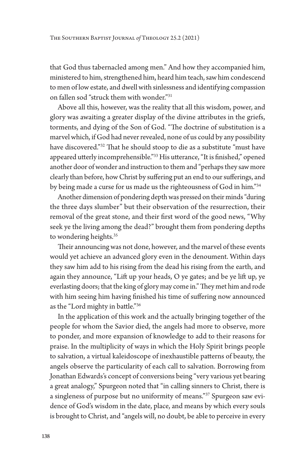that God thus tabernacled among men." And how they accompanied him, ministered to him, strengthened him, heard him teach, saw him condescend to men of low estate, and dwell with sinlessness and identifying compassion on fallen sod "struck them with wonder."31

Above all this, however, was the reality that all this wisdom, power, and glory was awaiting a greater display of the divine attributes in the griefs, torments, and dying of the Son of God. "The doctrine of substitution is a marvel which, if God had never revealed, none of us could by any possibility have discovered."32 That he should stoop to die as a substitute "must have appeared utterly incomprehensible."33 His utterance, "It is finished," opened another door of wonder and instruction to them and "perhaps they saw more clearly than before, how Christ by suffering put an end to our sufferings, and by being made a curse for us made us the righteousness of God in him."34

Another dimension of pondering depth was pressed on their minds "during the three days slumber" but their observation of the resurrection, their removal of the great stone, and their first word of the good news, "Why seek ye the living among the dead?" brought them from pondering depths to wondering heights.<sup>35</sup>

Their announcing was not done, however, and the marvel of these events would yet achieve an advanced glory even in the denoument. Within days they saw him add to his rising from the dead his rising from the earth, and again they announce, "Lift up your heads, O ye gates; and be ye lift up, ye everlasting doors; that the king of glory may come in." They met him and rode with him seeing him having finished his time of suffering now announced as the "Lord mighty in battle."36

In the application of this work and the actually bringing together of the people for whom the Savior died, the angels had more to observe, more to ponder, and more expansion of knowledge to add to their reasons for praise. In the multiplicity of ways in which the Holy Spirit brings people to salvation, a virtual kaleidoscope of inexhaustible patterns of beauty, the angels observe the particularity of each call to salvation. Borrowing from Jonathan Edwards's concept of conversions being "very various yet bearing a great analogy," Spurgeon noted that "in calling sinners to Christ, there is a singleness of purpose but no uniformity of means."37 Spurgeon saw evidence of God's wisdom in the date, place, and means by which every souls is brought to Christ, and "angels will, no doubt, be able to perceive in every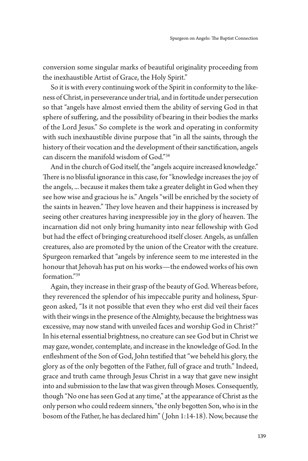conversion some singular marks of beautiful originality proceeding from the inexhaustible Artist of Grace, the Holy Spirit."

So it is with every continuing work of the Spirit in conformity to the likeness of Christ, in perseverance under trial, and in fortitude under persecution so that "angels have almost envied them the ability of serving God in that sphere of suffering, and the possibility of bearing in their bodies the marks of the Lord Jesus." So complete is the work and operating in conformity with such inexhaustible divine purpose that "in all the saints, through the history of their vocation and the development of their sanctification, angels can discern the manifold wisdom of God."38

And in the church of God itself, the "angels acquire increased knowledge." There is no blissful ignorance in this case, for "knowledge increases the joy of the angels, ... because it makes them take a greater delight in God when they see how wise and gracious he is." Angels "will be enriched by the society of the saints in heaven." They love heaven and their happiness is increased by seeing other creatures having inexpressible joy in the glory of heaven. The incarnation did not only bring humanity into near fellowship with God but had the effect of bringing creaturehood itself closer. Angels, as unfallen creatures, also are promoted by the union of the Creator with the creature. Spurgeon remarked that "angels by inference seem to me interested in the honour that Jehovah has put on his works—the endowed works of his own formation."39

Again, they increase in their grasp of the beauty of God. Whereas before, they reverenced the splendor of his impeccable purity and holiness, Spurgeon asked, "Is it not possible that even they who erst did veil their faces with their wings in the presence of the Almighty, because the brightness was excessive, may now stand with unveiled faces and worship God in Christ?" In his eternal essential brightness, no creature can see God but in Christ we may gaze, wonder, contemplate, and increase in the knowledge of God. In the enfleshment of the Son of God, John testified that "we beheld his glory, the glory as of the only begotten of the Father, full of grace and truth." Indeed, grace and truth came through Jesus Christ in a way that gave new insight into and submission to the law that was given through Moses. Consequently, though "No one has seen God at any time," at the appearance of Christ as the only person who could redeem sinners, "the only begotten Son, who is in the bosom of the Father, he has declared him" ( John 1:14-18). Now, because the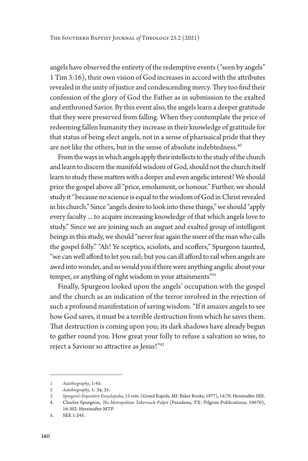angels have observed the entirety of the redemptive events ("seen by angels" 1 Tim 3:16), their own vision of God increases in accord with the attributes revealed in the unity of justice and condescending mercy. They too find their confession of the glory of God the Father as in submission to the exalted and enthroned Savior. By this event also, the angels learn a deeper gratitude that they were preserved from falling. When they contemplate the price of redeeming fallen humanity they increase in their knowledge of gratitude for that status of being elect angels, not in a sense of pharisaical pride that they are not like the others, but in the sense of absolute indebtedness.<sup>40</sup>

From the ways in which angels apply their intellects to the study of the church and learn to discern the manifold wisdom of God, should not the church itself learn to study these matters with a deeper and even angelic interest? We should prize the gospel above all "price, emolument, or honour." Further, we should study it "because no science is equal to the wisdom of God in Christ revealed in his church." Since "angels desire to look into these things," we should "apply every faculty ... to acquire increasing knowledge of that which angels love to study." Since we are joining such an august and exalted group of intelligent beings in this study, we should "never fear again the sneer of the man who calls the gospel folly." "Ah! Ye sceptics, sciolists, and scoffers," Spurgeon taunted, "we can well afford to let you rail; but you can ill afford to rail when angels are awed into wonder, and so would you if there were anything angelic about your temper, or anything of right wisdom in your attainments"<sup>41</sup>

Finally, Spurgeon looked upon the angels' occupation with the gospel and the church as an indication of the terror involved in the rejection of such a profound manifestation of saving wisdom. "If it amazes angels to see how God saves, it must be a terrible destruction from which he saves them. That destruction is coming upon you; its dark shadows have already begun to gather round you. How great your folly to refuse a salvation so wise, to reject a Saviour so attractive as Jesus!"42

*<sup>1.</sup> Autobiography*, 1:45.

*<sup>2.</sup> Autobiography*, 1: 34, 35.

*<sup>3.</sup> Spurgeon's Expository Encyclopedia*, 15 vols. (Grand Rapids, MI: Baker Books, 1977), 14:70. Hereinafter SEE.

<sup>4.</sup> Charles Spurgeon, *The Metropolitan Tabernacle Pulpit* (Pasadena, TX: Pilgrim Publications, 19670), 16:302. Hereinafter MTP.

<sup>5.</sup> SEE 1:245.